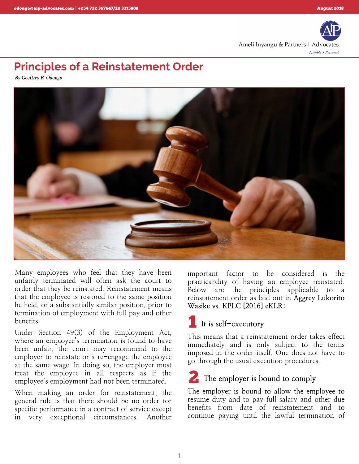

# *Principles of a Reinstatement Order*

**By Geoffrey E. Odongo**



Many employees who feel that they have been unfairly terminated will often ask the court to order that they be reinstated. Reinstatement means that the employee is restored to the same position he held, or a substantially similar position, prior to termination of employment with full pay and other benefits.

Under Section 49(3) of the Employment Act, where an employee's termination is found to have been unfair, the court may recommend to the employer to reinstate or a re-engage the employee at the same wage. In doing so, the employer must treat the employee in all respects as if the employee?s employment had not been terminated.

When making an order for reinstatement, the general rule is that there should be no order for specific performance in a contract of service except in very exceptional circumstances. Another

important factor to be considered is the practicability of having an employee reinstated. Below are the principles applicable to a reinstatement order as laid out in *Aggrey Lukorito Wasike vs. KPLC [2016] eKLR:*

# *It is self- executory* 1

This means that a reinstatement order takes effect immediately and is only subject to the terms imposed in the order itself. One does not have to go through the usual execution procedures.

# *The employer is bound to comply* 2

The employer is bound to allow the employee to resume duty and to pay full salary and other due benefits from date of reinstatement and to continue paying until the lawful termination of